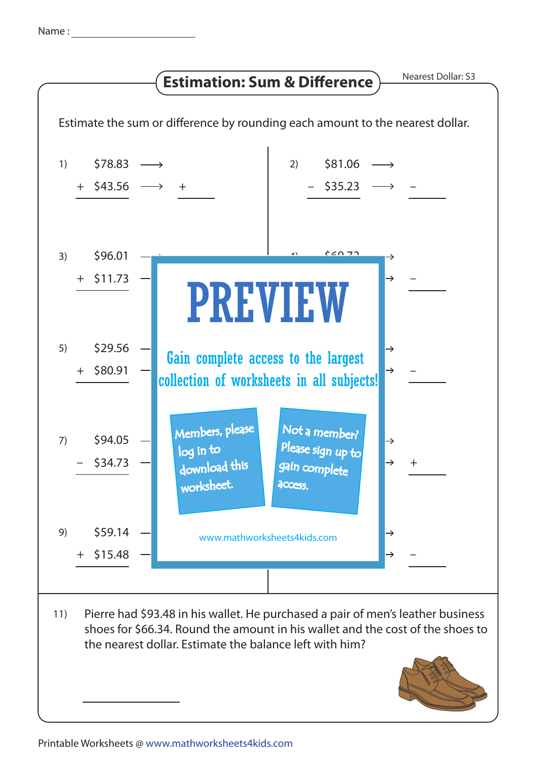